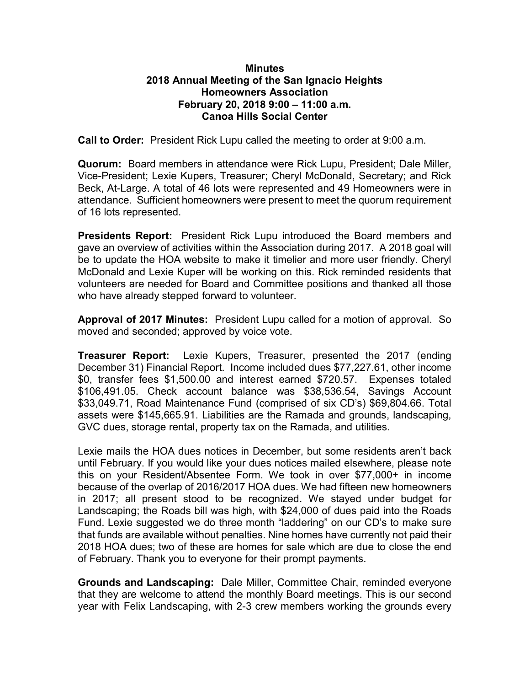## Minutes 2018 Annual Meeting of the San Ignacio Heights Homeowners Association February 20, 2018 9:00 – 11:00 a.m. Canoa Hills Social Center

Call to Order: President Rick Lupu called the meeting to order at 9:00 a.m.

Quorum: Board members in attendance were Rick Lupu, President; Dale Miller, Vice-President; Lexie Kupers, Treasurer; Cheryl McDonald, Secretary; and Rick Beck, At-Large. A total of 46 lots were represented and 49 Homeowners were in attendance. Sufficient homeowners were present to meet the quorum requirement of 16 lots represented.

Presidents Report: President Rick Lupu introduced the Board members and gave an overview of activities within the Association during 2017. A 2018 goal will be to update the HOA website to make it timelier and more user friendly. Cheryl McDonald and Lexie Kuper will be working on this. Rick reminded residents that volunteers are needed for Board and Committee positions and thanked all those who have already stepped forward to volunteer.

Approval of 2017 Minutes: President Lupu called for a motion of approval. So moved and seconded; approved by voice vote.

**Treasurer Report:** Lexie Kupers, Treasurer, presented the 2017 (ending December 31) Financial Report. Income included dues \$77,227.61, other income \$0, transfer fees \$1,500.00 and interest earned \$720.57. Expenses totaled \$106,491.05. Check account balance was \$38,536.54, Savings Account \$33,049.71, Road Maintenance Fund (comprised of six CD's) \$69,804.66. Total assets were \$145,665.91. Liabilities are the Ramada and grounds, landscaping, GVC dues, storage rental, property tax on the Ramada, and utilities.

Lexie mails the HOA dues notices in December, but some residents aren't back until February. If you would like your dues notices mailed elsewhere, please note this on your Resident/Absentee Form. We took in over \$77,000+ in income because of the overlap of 2016/2017 HOA dues. We had fifteen new homeowners in 2017; all present stood to be recognized. We stayed under budget for Landscaping; the Roads bill was high, with \$24,000 of dues paid into the Roads Fund. Lexie suggested we do three month "laddering" on our CD's to make sure that funds are available without penalties. Nine homes have currently not paid their 2018 HOA dues; two of these are homes for sale which are due to close the end of February. Thank you to everyone for their prompt payments.

Grounds and Landscaping: Dale Miller, Committee Chair, reminded everyone that they are welcome to attend the monthly Board meetings. This is our second year with Felix Landscaping, with 2-3 crew members working the grounds every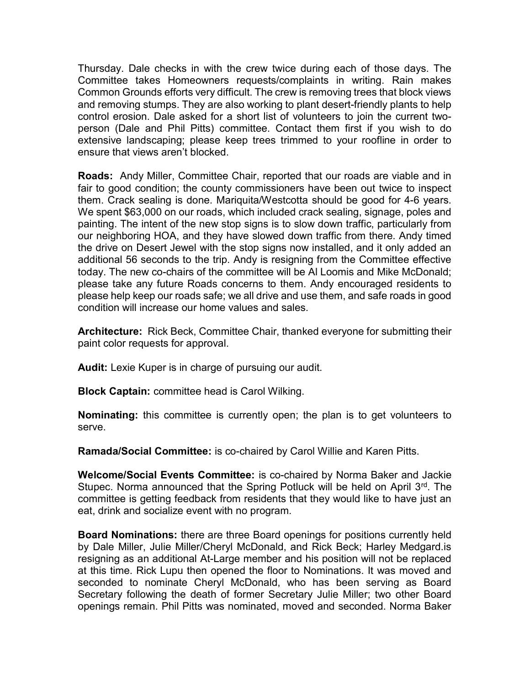Thursday. Dale checks in with the crew twice during each of those days. The Committee takes Homeowners requests/complaints in writing. Rain makes Common Grounds efforts very difficult. The crew is removing trees that block views and removing stumps. They are also working to plant desert-friendly plants to help control erosion. Dale asked for a short list of volunteers to join the current twoperson (Dale and Phil Pitts) committee. Contact them first if you wish to do extensive landscaping; please keep trees trimmed to your roofline in order to ensure that views aren't blocked.

Roads: Andy Miller, Committee Chair, reported that our roads are viable and in fair to good condition; the county commissioners have been out twice to inspect them. Crack sealing is done. Mariquita/Westcotta should be good for 4-6 years. We spent \$63,000 on our roads, which included crack sealing, signage, poles and painting. The intent of the new stop signs is to slow down traffic, particularly from our neighboring HOA, and they have slowed down traffic from there. Andy timed the drive on Desert Jewel with the stop signs now installed, and it only added an additional 56 seconds to the trip. Andy is resigning from the Committee effective today. The new co-chairs of the committee will be Al Loomis and Mike McDonald; please take any future Roads concerns to them. Andy encouraged residents to please help keep our roads safe; we all drive and use them, and safe roads in good condition will increase our home values and sales.

Architecture: Rick Beck, Committee Chair, thanked everyone for submitting their paint color requests for approval.

Audit: Lexie Kuper is in charge of pursuing our audit.

Block Captain: committee head is Carol Wilking.

Nominating: this committee is currently open; the plan is to get volunteers to serve.

Ramada/Social Committee: is co-chaired by Carol Willie and Karen Pitts.

Welcome/Social Events Committee: is co-chaired by Norma Baker and Jackie Stupec. Norma announced that the Spring Potluck will be held on April 3rd. The committee is getting feedback from residents that they would like to have just an eat, drink and socialize event with no program.

Board Nominations: there are three Board openings for positions currently held by Dale Miller, Julie Miller/Cheryl McDonald, and Rick Beck; Harley Medgard.is resigning as an additional At-Large member and his position will not be replaced at this time. Rick Lupu then opened the floor to Nominations. It was moved and seconded to nominate Cheryl McDonald, who has been serving as Board Secretary following the death of former Secretary Julie Miller; two other Board openings remain. Phil Pitts was nominated, moved and seconded. Norma Baker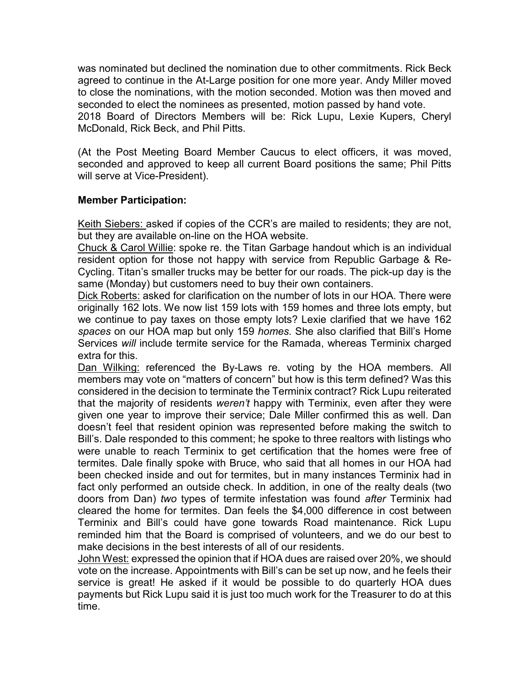was nominated but declined the nomination due to other commitments. Rick Beck agreed to continue in the At-Large position for one more year. Andy Miller moved to close the nominations, with the motion seconded. Motion was then moved and seconded to elect the nominees as presented, motion passed by hand vote. 2018 Board of Directors Members will be: Rick Lupu, Lexie Kupers, Cheryl McDonald, Rick Beck, and Phil Pitts.

(At the Post Meeting Board Member Caucus to elect officers, it was moved, seconded and approved to keep all current Board positions the same; Phil Pitts will serve at Vice-President).

## Member Participation:

Keith Siebers: asked if copies of the CCR's are mailed to residents; they are not, but they are available on-line on the HOA website.

Chuck & Carol Willie: spoke re. the Titan Garbage handout which is an individual resident option for those not happy with service from Republic Garbage & Re-Cycling. Titan's smaller trucks may be better for our roads. The pick-up day is the same (Monday) but customers need to buy their own containers.

Dick Roberts: asked for clarification on the number of lots in our HOA. There were originally 162 lots. We now list 159 lots with 159 homes and three lots empty, but we continue to pay taxes on those empty lots? Lexie clarified that we have 162 spaces on our HOA map but only 159 homes. She also clarified that Bill's Home Services will include termite service for the Ramada, whereas Terminix charged extra for this.

Dan Wilking: referenced the By-Laws re. voting by the HOA members. All members may vote on "matters of concern" but how is this term defined? Was this considered in the decision to terminate the Terminix contract? Rick Lupu reiterated that the majority of residents weren't happy with Terminix, even after they were given one year to improve their service; Dale Miller confirmed this as well. Dan doesn't feel that resident opinion was represented before making the switch to Bill's. Dale responded to this comment; he spoke to three realtors with listings who were unable to reach Terminix to get certification that the homes were free of termites. Dale finally spoke with Bruce, who said that all homes in our HOA had been checked inside and out for termites, but in many instances Terminix had in fact only performed an outside check. In addition, in one of the realty deals (two doors from Dan) two types of termite infestation was found after Terminix had cleared the home for termites. Dan feels the \$4,000 difference in cost between Terminix and Bill's could have gone towards Road maintenance. Rick Lupu reminded him that the Board is comprised of volunteers, and we do our best to make decisions in the best interests of all of our residents.

John West: expressed the opinion that if HOA dues are raised over 20%, we should vote on the increase. Appointments with Bill's can be set up now, and he feels their service is great! He asked if it would be possible to do quarterly HOA dues payments but Rick Lupu said it is just too much work for the Treasurer to do at this time.